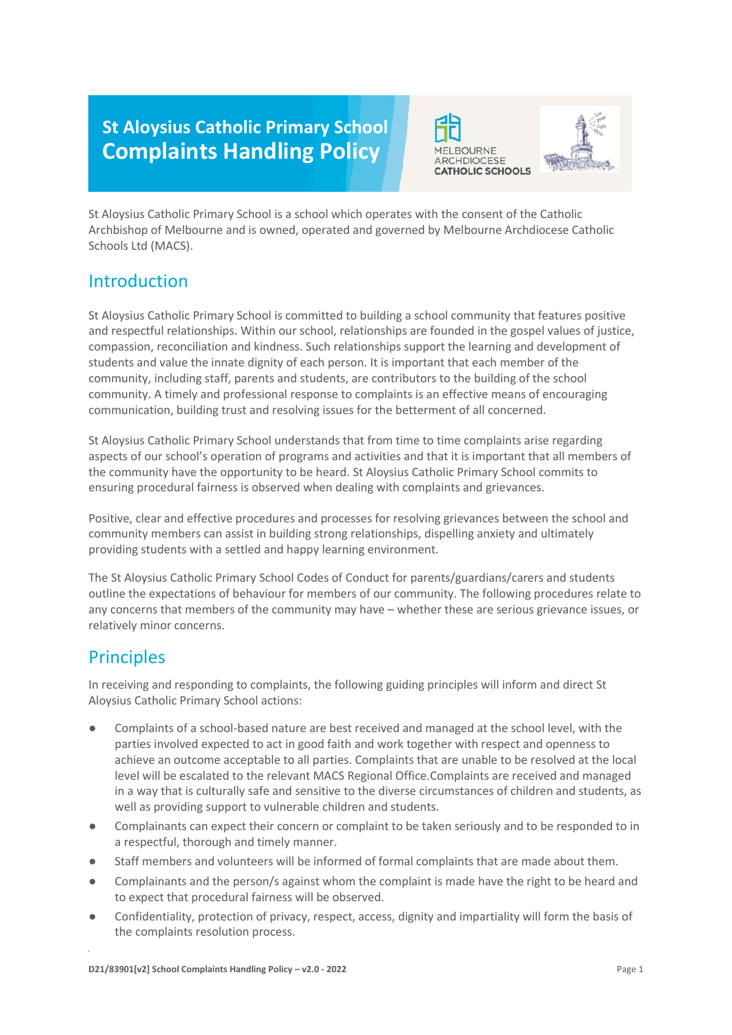# **St Aloysius Catholic Primary School Complaints Handling Policy**





St Aloysius Catholic Primary School is a school which operates with the consent of the Catholic Archbishop of Melbourne and is owned, operated and governed by Melbourne Archdiocese Catholic Schools Ltd (MACS).

### Introduction

St Aloysius Catholic Primary School is committed to building a school community that features positive and respectful relationships. Within our school, relationships are founded in the gospel values of justice, compassion, reconciliation and kindness. Such relationships support the learning and development of students and value the innate dignity of each person. It is important that each member of the community, including staff, parents and students, are contributors to the building of the school community. A timely and professional response to complaints is an effective means of encouraging communication, building trust and resolving issues for the betterment of all concerned.

St Aloysius Catholic Primary School understands that from time to time complaints arise regarding aspects of our school's operation of programs and activities and that it is important that all members of the community have the opportunity to be heard. St Aloysius Catholic Primary School commits to ensuring procedural fairness is observed when dealing with complaints and grievances.

Positive, clear and effective procedures and processes for resolving grievances between the school and community members can assist in building strong relationships, dispelling anxiety and ultimately providing students with a settled and happy learning environment.

The St Aloysius Catholic Primary School Codes of Conduct for parents/guardians/carers and students outline the expectations of behaviour for members of our community. The following procedures relate to any concerns that members of the community may have – whether these are serious grievance issues, or relatively minor concerns.

## Principles

In receiving and responding to complaints, the following guiding principles will inform and direct St Aloysius Catholic Primary School actions:

- Complaints of a school-based nature are best received and managed at the school level, with the parties involved expected to act in good faith and work together with respect and openness to achieve an outcome acceptable to all parties. Complaints that are unable to be resolved at the local level will be escalated to the relevant MACS Regional Office.Complaints are received and managed in a way that is culturally safe and sensitive to the diverse circumstances of children and students, as well as providing support to vulnerable children and students.
- Complainants can expect their concern or complaint to be taken seriously and to be responded to in a respectful, thorough and timely manner.
- Staff members and volunteers will be informed of formal complaints that are made about them.
- Complainants and the person/s against whom the complaint is made have the right to be heard and to expect that procedural fairness will be observed.
- Confidentiality, protection of privacy, respect, access, dignity and impartiality will form the basis of the complaints resolution process.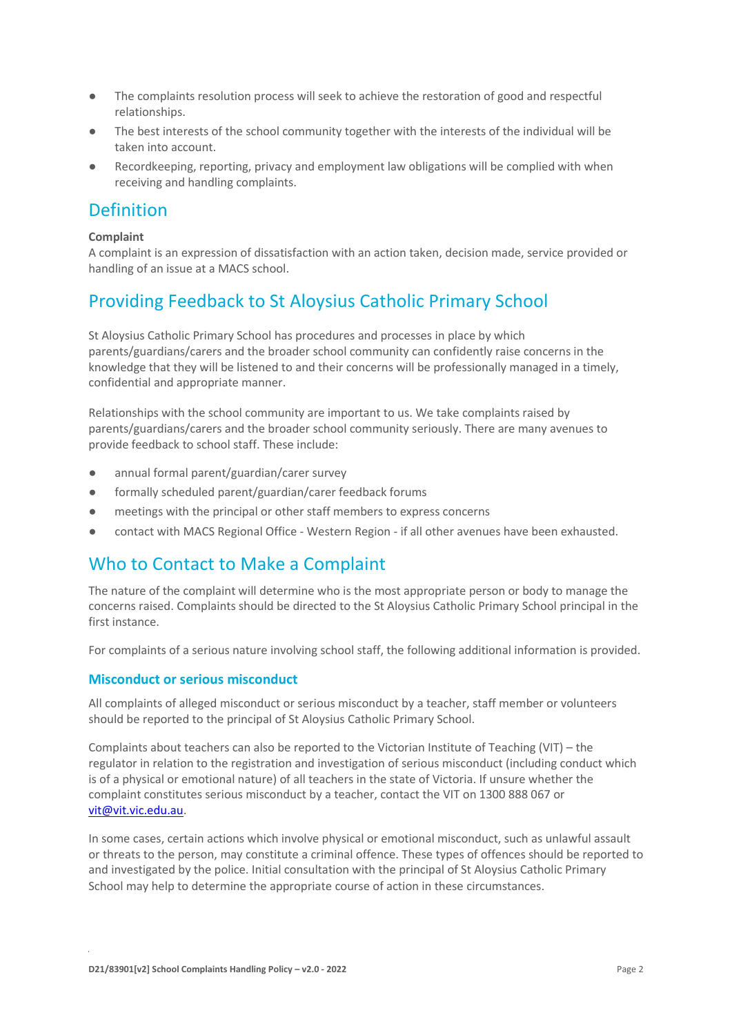- The complaints resolution process will seek to achieve the restoration of good and respectful relationships.
- The best interests of the school community together with the interests of the individual will be taken into account.
- Recordkeeping, reporting, privacy and employment law obligations will be complied with when receiving and handling complaints.

### Definition

#### **Complaint**

A complaint is an expression of dissatisfaction with an action taken, decision made, service provided or handling of an issue at a MACS school.

## Providing Feedback to St Aloysius Catholic Primary School

St Aloysius Catholic Primary School has procedures and processes in place by which parents/guardians/carers and the broader school community can confidently raise concerns in the knowledge that they will be listened to and their concerns will be professionally managed in a timely, confidential and appropriate manner.

Relationships with the school community are important to us. We take complaints raised by parents/guardians/carers and the broader school community seriously. There are many avenues to provide feedback to school staff. These include:

- annual formal parent/guardian/carer survey
- formally scheduled parent/guardian/carer feedback forums
- meetings with the principal or other staff members to express concerns
- contact with MACS Regional Office Western Region if all other avenues have been exhausted.

### Who to Contact to Make a Complaint

The nature of the complaint will determine who is the most appropriate person or body to manage the concerns raised. Complaints should be directed to the St Aloysius Catholic Primary School principal in the first instance.

For complaints of a serious nature involving school staff, the following additional information is provided.

#### **Misconduct or serious misconduct**

All complaints of alleged misconduct or serious misconduct by a teacher, staff member or volunteers should be reported to the principal of St Aloysius Catholic Primary School.

Complaints about teachers can also be reported to the Victorian Institute of Teaching (VIT) – the regulator in relation to the registration and investigation of serious misconduct (including conduct which is of a physical or emotional nature) of all teachers in the state of Victoria. If unsure whether the complaint constitutes serious misconduct by a teacher, contact the VIT on 1300 888 067 or [vit@vit.vic.edu.au.](mailto:vit@vit.vic.edu.au)

In some cases, certain actions which involve physical or emotional misconduct, such as unlawful assault or threats to the person, may constitute a criminal offence. These types of offences should be reported to and investigated by the police. Initial consultation with the principal of St Aloysius Catholic Primary School may help to determine the appropriate course of action in these circumstances.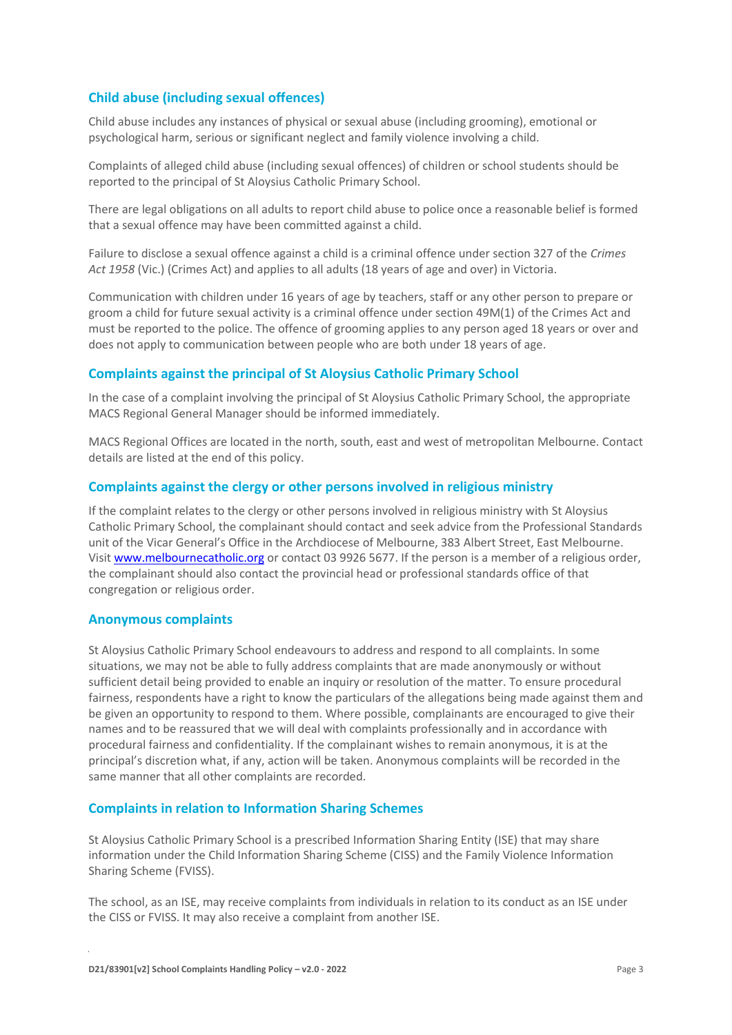#### **Child abuse (including sexual offences)**

Child abuse includes any instances of physical or sexual abuse (including grooming), emotional or psychological harm, serious or significant neglect and family violence involving a child.

Complaints of alleged child abuse (including sexual offences) of children or school students should be reported to the principal of St Aloysius Catholic Primary School.

There are legal obligations on all adults to report child abuse to police once a reasonable belief is formed that a sexual offence may have been committed against a child.

Failure to disclose a sexual offence against a child is a criminal offence under section 327 of the *Crimes Act 1958* (Vic.) (Crimes Act) and applies to all adults (18 years of age and over) in Victoria.

Communication with children under 16 years of age by teachers, staff or any other person to prepare or groom a child for future sexual activity is a criminal offence under section 49M(1) of the Crimes Act and must be reported to the police. The offence of grooming applies to any person aged 18 years or over and does not apply to communication between people who are both under 18 years of age.

#### **Complaints against the principal of St Aloysius Catholic Primary School**

In the case of a complaint involving the principal of St Aloysius Catholic Primary School, the appropriate MACS Regional General Manager should be informed immediately.

MACS Regional Offices are located in the north, south, east and west of metropolitan Melbourne. Contact details are listed at the end of this policy.

#### **Complaints against the clergy or other persons involved in religious ministry**

If the complaint relates to the clergy or other persons involved in religious ministry with St Aloysius Catholic Primary School, the complainant should contact and seek advice from the Professional Standards unit of the Vicar General's Office in the Archdiocese of Melbourne, 383 Albert Street, East Melbourne. Visit [www.melbournecatholic.org](http://www.melbournecatholic.org/) or contact 03 9926 5677. If the person is a member of a religious order, the complainant should also contact the provincial head or professional standards office of that congregation or religious order.

#### **Anonymous complaints**

St Aloysius Catholic Primary School endeavours to address and respond to all complaints. In some situations, we may not be able to fully address complaints that are made anonymously or without sufficient detail being provided to enable an inquiry or resolution of the matter. To ensure procedural fairness, respondents have a right to know the particulars of the allegations being made against them and be given an opportunity to respond to them. Where possible, complainants are encouraged to give their names and to be reassured that we will deal with complaints professionally and in accordance with procedural fairness and confidentiality. If the complainant wishes to remain anonymous, it is at the principal's discretion what, if any, action will be taken. Anonymous complaints will be recorded in the same manner that all other complaints are recorded.

#### **Complaints in relation to Information Sharing Schemes**

St Aloysius Catholic Primary School is a prescribed Information Sharing Entity (ISE) that may share information under the Child Information Sharing Scheme (CISS) and the Family Violence Information Sharing Scheme (FVISS).

The school, as an ISE, may receive complaints from individuals in relation to its conduct as an ISE under the CISS or FVISS. It may also receive a complaint from another ISE.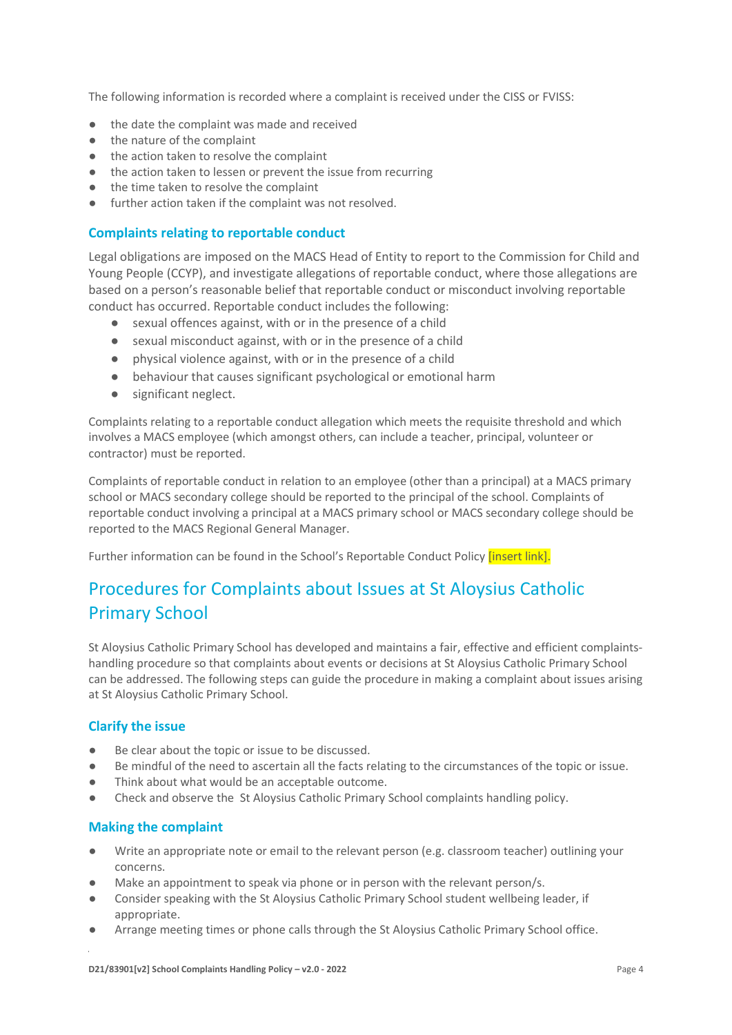The following information is recorded where a complaint is received under the CISS or FVISS:

- the date the complaint was made and received
- the nature of the complaint
- the action taken to resolve the complaint
- the action taken to lessen or prevent the issue from recurring
- the time taken to resolve the complaint
- further action taken if the complaint was not resolved.

#### **Complaints relating to reportable conduct**

Legal obligations are imposed on the MACS Head of Entity to report to the Commission for Child and Young People (CCYP), and investigate allegations of reportable conduct, where those allegations are based on a person's reasonable belief that reportable conduct or misconduct involving reportable conduct has occurred. Reportable conduct includes the following:

- sexual offences against, with or in the presence of a child
- sexual misconduct against, with or in the presence of a child
- physical violence against, with or in the presence of a child
- behaviour that causes significant psychological or emotional harm
- significant neglect.

Complaints relating to a reportable conduct allegation which meets the requisite threshold and which involves a MACS employee (which amongst others, can include a teacher, principal, volunteer or contractor) must be reported.

Complaints of reportable conduct in relation to an employee (other than a principal) at a MACS primary school or MACS secondary college should be reported to the principal of the school. Complaints of reportable conduct involving a principal at a MACS primary school or MACS secondary college should be reported to the MACS Regional General Manager.

Further information can be found in the School's Reportable Conduct Policy *[insert link]*.

## Procedures for Complaints about Issues at St Aloysius Catholic Primary School

St Aloysius Catholic Primary School has developed and maintains a fair, effective and efficient complaintshandling procedure so that complaints about events or decisions at St Aloysius Catholic Primary School can be addressed. The following steps can guide the procedure in making a complaint about issues arising at St Aloysius Catholic Primary School.

#### **Clarify the issue**

- Be clear about the topic or issue to be discussed.
- Be mindful of the need to ascertain all the facts relating to the circumstances of the topic or issue.
- Think about what would be an acceptable outcome.
- Check and observe the St Aloysius Catholic Primary School complaints handling policy.

#### **Making the complaint**

- Write an appropriate note or email to the relevant person (e.g. classroom teacher) outlining your concerns.
- Make an appointment to speak via phone or in person with the relevant person/s.
- Consider speaking with the St Aloysius Catholic Primary School student wellbeing leader, if appropriate.
- Arrange meeting times or phone calls through the St Aloysius Catholic Primary School office.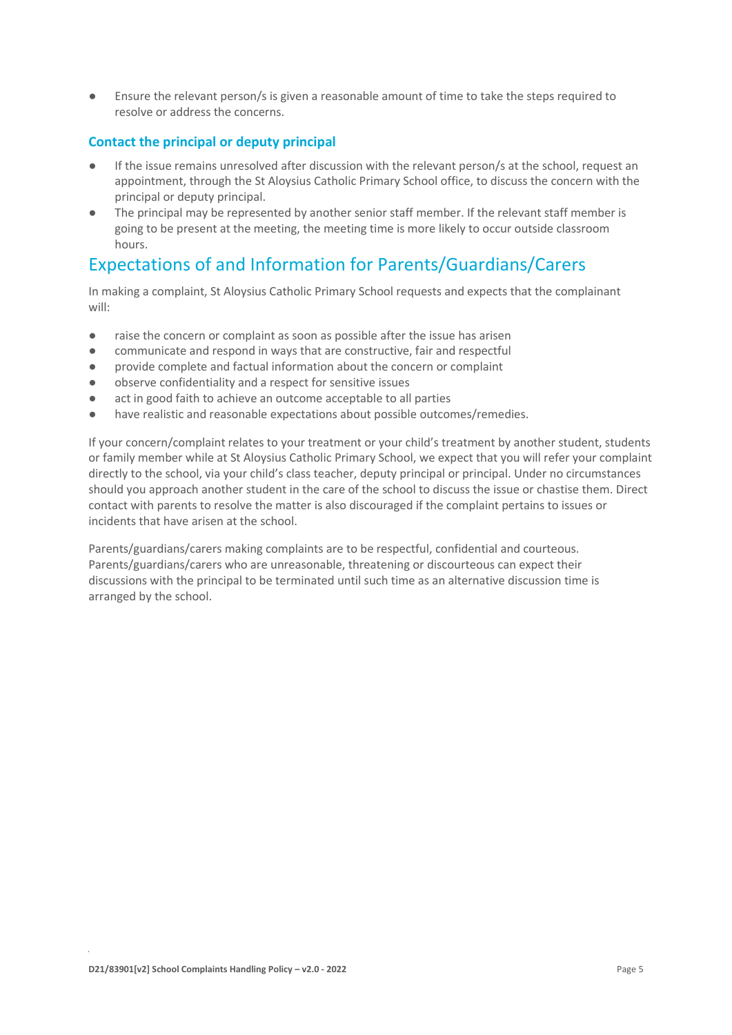Ensure the relevant person/s is given a reasonable amount of time to take the steps required to resolve or address the concerns.

#### **Contact the principal or deputy principal**

- If the issue remains unresolved after discussion with the relevant person/s at the school, request an appointment, through the St Aloysius Catholic Primary School office, to discuss the concern with the principal or deputy principal.
- The principal may be represented by another senior staff member. If the relevant staff member is going to be present at the meeting, the meeting time is more likely to occur outside classroom hours.

### Expectations of and Information for Parents/Guardians/Carers

In making a complaint, St Aloysius Catholic Primary School requests and expects that the complainant will:

- raise the concern or complaint as soon as possible after the issue has arisen
- communicate and respond in ways that are constructive, fair and respectful
- provide complete and factual information about the concern or complaint
- observe confidentiality and a respect for sensitive issues
- act in good faith to achieve an outcome acceptable to all parties
- have realistic and reasonable expectations about possible outcomes/remedies.

If your concern/complaint relates to your treatment or your child's treatment by another student, students or family member while at St Aloysius Catholic Primary School, we expect that you will refer your complaint directly to the school, via your child's class teacher, deputy principal or principal. Under no circumstances should you approach another student in the care of the school to discuss the issue or chastise them. Direct contact with parents to resolve the matter is also discouraged if the complaint pertains to issues or incidents that have arisen at the school.

Parents/guardians/carers making complaints are to be respectful, confidential and courteous. Parents/guardians/carers who are unreasonable, threatening or discourteous can expect their discussions with the principal to be terminated until such time as an alternative discussion time is arranged by the school.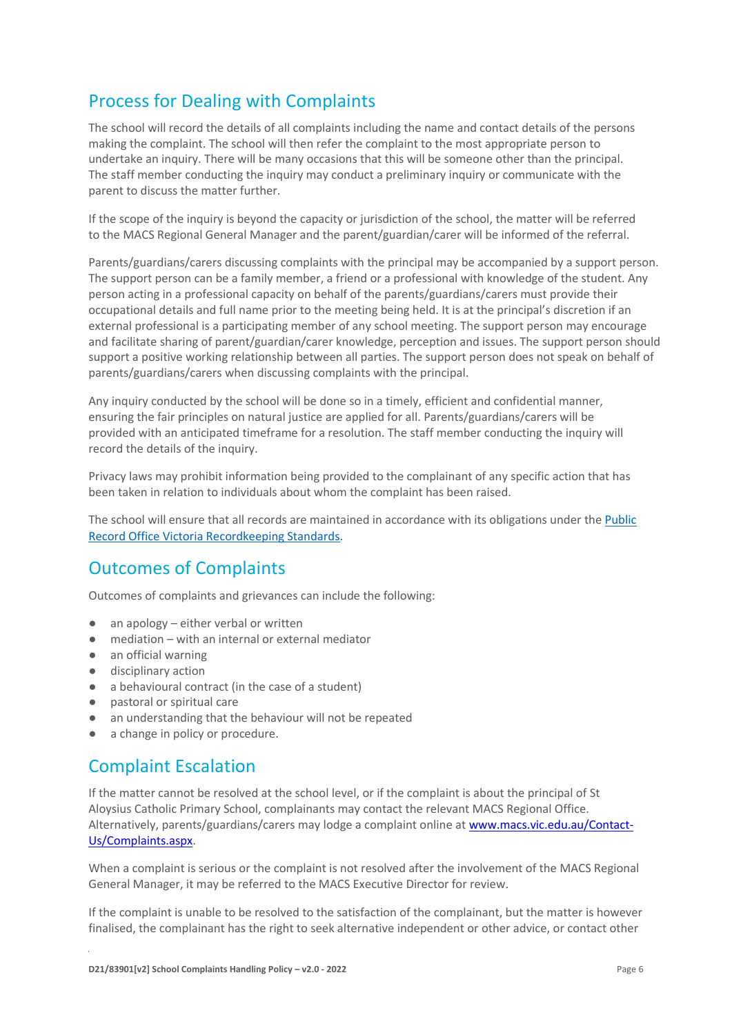## Process for Dealing with Complaints

The school will record the details of all complaints including the name and contact details of the persons making the complaint. The school will then refer the complaint to the most appropriate person to undertake an inquiry. There will be many occasions that this will be someone other than the principal. The staff member conducting the inquiry may conduct a preliminary inquiry or communicate with the parent to discuss the matter further.

If the scope of the inquiry is beyond the capacity or jurisdiction of the school, the matter will be referred to the MACS Regional General Manager and the parent/guardian/carer will be informed of the referral.

Parents/guardians/carers discussing complaints with the principal may be accompanied by a support person. The support person can be a family member, a friend or a professional with knowledge of the student. Any person acting in a professional capacity on behalf of the parents/guardians/carers must provide their occupational details and full name prior to the meeting being held. It is at the principal's discretion if an external professional is a participating member of any school meeting. The support person may encourage and facilitate sharing of parent/guardian/carer knowledge, perception and issues. The support person should support a positive working relationship between all parties. The support person does not speak on behalf of parents/guardians/carers when discussing complaints with the principal.

Any inquiry conducted by the school will be done so in a timely, efficient and confidential manner, ensuring the fair principles on natural justice are applied for all. Parents/guardians/carers will be provided with an anticipated timeframe for a resolution. The staff member conducting the inquiry will record the details of the inquiry.

Privacy laws may prohibit information being provided to the complainant of any specific action that has been taken in relation to individuals about whom the complaint has been raised.

The school will ensure that all records are maintained in accordance with its obligations under the [Public](https://prov.vic.gov.au/recordkeeping-government/standards-framework)  [Record Office Victoria Recordkeeping Standards.](https://prov.vic.gov.au/recordkeeping-government/standards-framework)

## Outcomes of Complaints

Outcomes of complaints and grievances can include the following:

- $\bullet$  an apology either verbal or written
- mediation with an internal or external mediator
- an official warning
- disciplinary action
- a behavioural contract (in the case of a student)
- pastoral or spiritual care
- an understanding that the behaviour will not be repeated
- a change in policy or procedure.

### Complaint Escalation

If the matter cannot be resolved at the school level, or if the complaint is about the principal of St Aloysius Catholic Primary School, complainants may contact the relevant MACS Regional Office. Alternatively, parents/guardians/carers may lodge a complaint online a[t www.macs.vic.edu.au/Contact-](http://www.macs.vic.edu.au/Contact-Us/Complaints.aspx)[Us/Complaints.aspx.](http://www.macs.vic.edu.au/Contact-Us/Complaints.aspx)

When a complaint is serious or the complaint is not resolved after the involvement of the MACS Regional General Manager, it may be referred to the MACS Executive Director for review.

If the complaint is unable to be resolved to the satisfaction of the complainant, but the matter is however finalised, the complainant has the right to seek alternative independent or other advice, or contact other